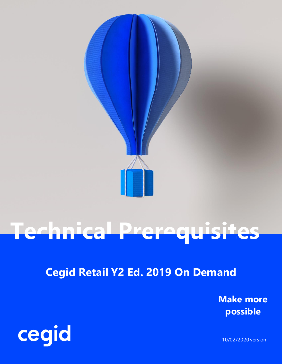

# **Technical Prerequisites**

## **Cegid Retail Y2 Ed. 2019 On Demand**

**Make more possible**



10/02/2020 version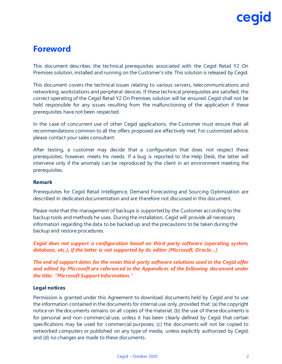### **Foreword**

This document describes the technical prerequisites associated with the Cegid Retail Y2 On Premises solution, installed and running on the Customer's site. This solution is released by Cegid.

This document covers the technical issues relating to various servers, telecommunications and networking, workstations and peripheral devices. If these technical prerequisites are satisfied, the correct operating of the Cegid Retail Y2 On Premises solution will be ensured. Cegid shall not be held responsible for any issues resulting from the malfunctioning of the application if these prerequisites have not been respected.

In the case of concurrent use of other Cegid applications, the Customer must ensure that all recommendations common to all the offers proposed are effectively met. For customized advice, please contact your sales consultant.

After testing, a customer may decide that a configuration that does not respect these prerequisites, however, meets his needs. If a bug is reported to the Help Desk, the latter will intervene only if the anomaly can be reproduced by the client in an environment meeting the prerequisites.

#### **Remark**

Prerequisites for Cegid Retail Intelligence, Demand Forecasting and Sourcing Optimization are described in dedicated documentation and are therefore not discussed in this document.

Please note that the management of backups is supported by the Customer according to the backup tools and methods he uses. During the installation, Cegid will provide all necessary information regarding the data to be backed up and the precautions to be taken during the backup and restore procedures.

*Cegid does not support a configuration based on third-party software (operating system, database, etc.), if the latter is not supported by its editor (Microsoft, Oracle…)*

*The end of support dates for the main third-party software solutions used in the Cegid offer and edited by Microsoft are referenced in the Appendices of the following document under the title: "Microsoft Support Information."*

#### **Legal notices**

Permission is granted under this Agreement to download documents held by Cegid and to use the information contained in the documents for internal use only, provided that: (a) the copyright notice on the documents remains on all copies of the material; (b) the use of these documents is for personal and non-commercial use, unless it has been clearly defined by Cegid that certain specifications may be used for commercial purposes; (c) the documents will not be copied to networked computers or published on any type of media, unless explicitly authorized by Cegid; and (d) no changes are made to these documents.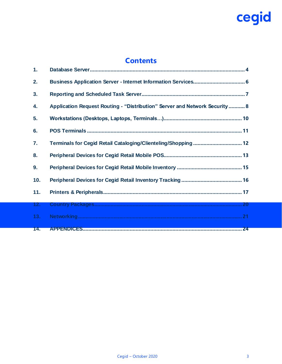### **Contents**

| 1.  |                                                                             |
|-----|-----------------------------------------------------------------------------|
| 2.  |                                                                             |
| 3.  |                                                                             |
| 4.  | Application Request Routing - "Distribution" Server and Network Security  8 |
| 5.  |                                                                             |
| 6.  |                                                                             |
| 7.  | Terminals for Cegid Retail Cataloging/Clienteling/Shopping 12               |
| 8.  |                                                                             |
| 9.  |                                                                             |
| 10. |                                                                             |
| 11. |                                                                             |
| 12. |                                                                             |
| 13. |                                                                             |
| 14. | 24                                                                          |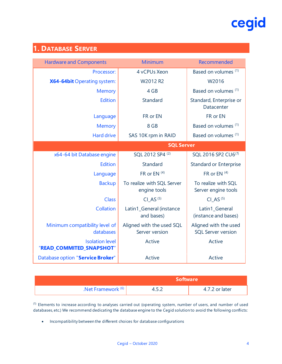## <span id="page-3-0"></span>**1. DATABASE SERVER**

| <b>Hardware and Components</b>                     | Minimum                                     | Recommended                                        |
|----------------------------------------------------|---------------------------------------------|----------------------------------------------------|
| Processor:                                         | 4 vCPUs Xeon                                | Based on volumes (1)                               |
| X64-64bit Operating system:                        | W2012 R2                                    | W2016                                              |
| <b>Memory</b>                                      | 4 GB                                        | Based on volumes <sup>(1)</sup>                    |
| <b>Edition</b>                                     | Standard                                    | Standard, Enterprise or<br>Datacenter              |
| Language                                           | FR or EN                                    | FR or EN                                           |
| <b>Memory</b>                                      | 8 GB                                        | Based on volumes <sup>(1)</sup>                    |
| <b>Hard drive</b>                                  | SAS 10K rpm in RAID                         | Based on volumes (1)                               |
|                                                    | <b>SQL Server</b>                           |                                                    |
| x64-64 bit Database engine                         | SQL 2012 SP4 (2)                            | SQL 2016 SP2 CU6 <sup>(7)</sup>                    |
| <b>Edition</b>                                     | Standard                                    | <b>Standard or Enterprise</b>                      |
| Language                                           | FR or EN <sup>(4)</sup>                     | FR or EN $(4)$                                     |
| <b>Backup</b>                                      | To realize with SQL Server<br>engine tools  | To realize with SQL<br>Server engine tools         |
| Class                                              | CI AS $(5)$                                 | CI AS $(5)$                                        |
| Collation                                          | Latin1_General (instance<br>and bases)      | Latin1_General<br>(instance and bases)             |
| Minimum compatibility level of<br>databases        | Aligned with the used SQL<br>Server version | Aligned with the used<br><b>SQL Server version</b> |
| <b>Isolation level</b><br>"READ_COMMITED_SNAPSHOT" | Active                                      | Active                                             |
| Database option "Service Broker"                   | Active                                      | Active                                             |

| Software \                    |  |                |
|-------------------------------|--|----------------|
| .Net Framework <sup>(6)</sup> |  | 4.7.2 or later |

(1) Elements to increase according to analyses carried out (operating system, number of users, and number of used databases, etc.) We recommend dedicating the database engine to the Cegid solution to avoid the following conflicts:

• Incompatibility between the different choices for database configurations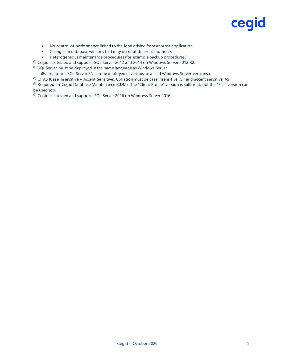- No control of performance linked to the load arising from another application
- Changes in database versions that may occur at different moments
- Heterogeneous maintenance procedures (for example backup procedures )
- <sup>(2)</sup> Cegid has tested and supports SQL Server 2012 and 2014 on Windows Server 2012 R2.

(4) SQL Server must be deployed in the same language as Windows Server

(By exception, SQL Server EN can be deployed in various localized Windows Server versions.)

 $<sup>(5)</sup>$  Cl\_AS (Case Insensitive – Accent Sensitive). Collation must be case insensitive (CI) and accent sensitive (AS).</sup>

<sup>(6)</sup> Required for Cegid Database Maintenance (CDM). The "Client Profile" version is sufficient, but the "Full" version can be used too.

 $(7)$  Cegid has tested and supports SQL Server 2016 on Windows Server 2016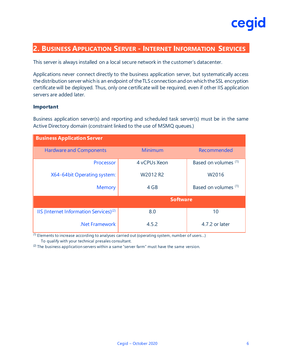

#### <span id="page-5-0"></span>**2. BUSINESS APPLICATION SERVER - INTERNET INFORMATION SERVICES**

This server is always installed on a local secure network in the customer's datacenter.

Applications never connect directly to the business application server, but systematically access the distribution server which is an endpoint of the TLS connection and on which the SSL encryption certificate will be deployed. Thus, only one certificate will be required, even if other IIS application servers are added later.

#### **Important**

Business application server(s) and reporting and scheduled task server(s) must be in the same Active Directory domain (constraint linked to the use of MSMQ queues.)

| <b>Business Application Server</b>                 |                 |                      |  |  |  |
|----------------------------------------------------|-----------------|----------------------|--|--|--|
| <b>Hardware and Components</b>                     | Minimum         | Recommended          |  |  |  |
| Processor                                          | 4 vCPUs Xeon    | Based on volumes (1) |  |  |  |
| X64-64 bit Operating system:                       | W2012 R2        | W2016                |  |  |  |
| <b>Memory</b>                                      | 4 GB            | Based on volumes (1) |  |  |  |
|                                                    | <b>Software</b> |                      |  |  |  |
| IIS (Internet Information Services) <sup>(2)</sup> | 8.0             | 10                   |  |  |  |
| .Net Framework                                     | 4.5.2           | 4.7.2 or later       |  |  |  |

 $(1)$  Elements to increase according to analyses carried out (operating system, number of users...) To qualify with your technical presales consultant.

 $(2)$  The business application servers within a same "server farm" must have the same version.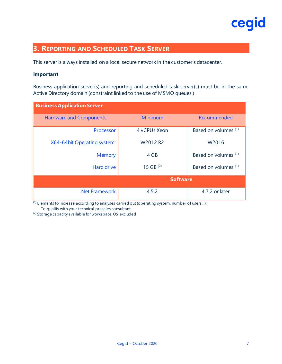

### <span id="page-6-0"></span>**3. REPORTING AND SCHEDULED TASK SERVER**

This server is always installed on a local secure network in the customer's datacenter.

#### **Important**

Business application server(s) and reporting and scheduled task server(s) must be in the same Active Directory domain (constraint linked to the use of MSMQ queues.)

| <b>Business Application Server</b> |                 |                                 |  |  |
|------------------------------------|-----------------|---------------------------------|--|--|
| <b>Hardware and Components</b>     | Minimum         | Recommended                     |  |  |
| Processor                          | 4 vCPUs Xeon    | Based on volumes (1)            |  |  |
| X64-64bit Operating system:        | W2012 R2        | W <sub>2016</sub>               |  |  |
| <b>Memory</b>                      | 4 GB            | Based on volumes <sup>(1)</sup> |  |  |
| <b>Hard drive</b>                  | 15 GB $(2)$     | Based on volumes (1)            |  |  |
|                                    | <b>Software</b> |                                 |  |  |
| .Net Framework                     | 4.5.2           | 4.7.2 or later                  |  |  |

(1) Elements to increase according to analyses carried out (operating system, number of users…):

To qualify with your technical presales consultant.

(2) Storage capacity available for workspace, OS excluded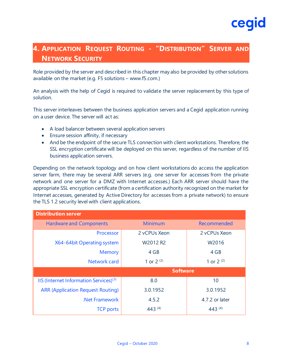#### <span id="page-7-0"></span>**4. APPLICATION REQUEST ROUTING - "DISTRIBUTION" SERVER AND NETWORK SECURITY**

Role provided by the server and described in this chapter may also be provided by other solutions available on the market (e.g. F5 solutions – www.f5.com.)

An analysis with the help of Cegid is required to validate the server replacement by this type of solution.

This server interleaves between the business application servers and a Cegid application running on a user device. The server will act as:

- A load balancer between several application servers
- Ensure session affinity, if necessary
- And be the endpoint of the secure TLS connection with client workstations. Therefore, the SSL encryption certificate will be deployed on this server, regardless of the number of IIS business application servers.

Depending on the network topology and on how client workstations do access the application server farm, there may be several ARR servers (e.g. one server for accesses from the private network and one server for a DMZ with Internet accesses.) Each ARR server should have the appropriate SSL encryption certificate (from a certification authority recognized on the market for Internet accesses, generated by Active Directory for accesses from a private network) to ensure the TLS 1.2 security level with client applications.

| <b>Distribution server</b>                         |                 |                |  |  |
|----------------------------------------------------|-----------------|----------------|--|--|
| <b>Hardware and Components</b>                     | <b>Minimum</b>  | Recommended    |  |  |
| Processor                                          | 2 vCPUs Xeon    | 2 vCPUs Xeon   |  |  |
| X64-64bit Operating system                         | W2012 R2        | W2016          |  |  |
| <b>Memory</b>                                      | 4 GB            | 4 GB           |  |  |
| Network card                                       | 1 or $2^{(2)}$  | 1 or $2^{(2)}$ |  |  |
|                                                    | <b>Software</b> |                |  |  |
| IIS (Internet Information Services) <sup>(3)</sup> | 8.0             | 10             |  |  |
| <b>ARR (Application Request Routing)</b>           | 3.0.1952        | 3.0.1952       |  |  |
| .Net Framework                                     | 4.5.2           | 4.7.2 or later |  |  |
| <b>TCP ports</b>                                   | 443 (4)         | 443 $(4)$      |  |  |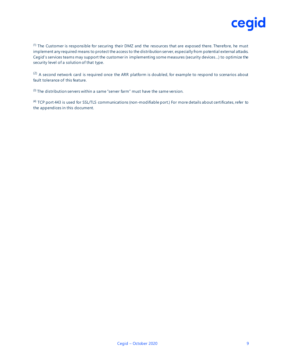

 $(1)$  The Customer is responsible for securing their DMZ and the resources that are exposed there. Therefore, he must implement any required means to protect the access to the distribution server, especially from potential external attacks. Cegid's services teams may support the customer in implementing some measures (security devices…) to optimize the security level of a solution of that type.

 $(2)$  A second network card is required once the ARR platform is doubled, for example to respond to scenarios about fault tolerance of this feature.

 $(3)$  The distribution servers within a same "server farm" must have the same version.

(4) TCP port 443 is used for SSL/TLS communications (non-modifiable port.) For more details about certificates, refer to the appendices in this document.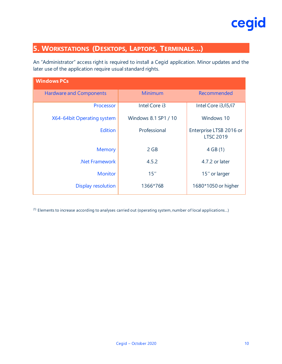

### <span id="page-9-0"></span>**5. WORKSTATIONS (DESKTOPS, LAPTOPS, TERMINALS…)**

An "Administrator" access right is required to install a Cegid application. Minor updates and the later use of the application require usual standard rights.

| <b>Windows PCs</b>             |                      |                                             |  |  |
|--------------------------------|----------------------|---------------------------------------------|--|--|
| <b>Hardware and Components</b> | Minimum              | Recommended                                 |  |  |
| Processor                      | Intel Core i3        | Intel Core i3/i5/i7                         |  |  |
| X64-64bit Operating system     | Windows 8.1 SP1 / 10 | Windows 10                                  |  |  |
| <b>Edition</b>                 | Professional         | Enterprise LTSB 2016 or<br><b>LTSC 2019</b> |  |  |
| <b>Memory</b>                  | 2 GB                 | 4 GB(1)                                     |  |  |
| .Net Framework                 | 4.5.2                | 4.7.2 or later                              |  |  |
| <b>Monitor</b>                 | 15''                 | 15" or larger                               |  |  |
| Display resolution             | 1366*768             | 1680*1050 or higher                         |  |  |

 $(1)$  Elements to increase according to analyses carried out (operating system, number of local applications...)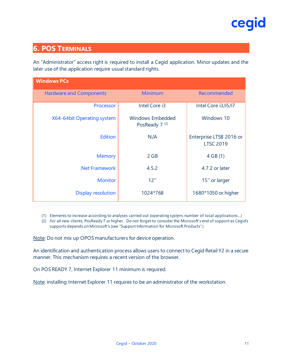

#### <span id="page-10-0"></span>**6. POS TERMINALS**

An "Administrator" access right is required to install a Cegid application. Minor updates and the later use of the application require usual standard rights.

| <b>Windows PCs</b>             |                                               |                                             |  |  |
|--------------------------------|-----------------------------------------------|---------------------------------------------|--|--|
| <b>Hardware and Components</b> | <b>Minimum</b>                                | Recommended                                 |  |  |
| Processor                      | Intel Core i3                                 | Intel Core i3/i5/i7                         |  |  |
| X64-64bit Operating system     | Windows Embedded<br>PosReady 7 <sup>(2)</sup> | Windows 10                                  |  |  |
| <b>Edition</b>                 | N/A                                           | Enterprise LTSB 2016 or<br><b>LTSC 2019</b> |  |  |
| <b>Memory</b>                  | 2 GB                                          | 4 GB(1)                                     |  |  |
| .Net Framework                 | 4.5.2                                         | 4.7.2 or later                              |  |  |
| <b>Monitor</b>                 | 12''                                          | 15" or larger                               |  |  |
| Display resolution             | 1024*768                                      | 1680*1050 or higher                         |  |  |

(1) Elements to increase according to analyses carried out (operating system, number of local applications…)

(2) For all new clients, PosReady 7 or higher. Do not forget to consider the Microsoft's end of support as Cegid's supports depends on Microsoft's (see "Support Information for Microsoft Products".)

Note: Do not mix up OPOS manufacturers for device operation.

An identification and authentication process allows users to connect to Cegid Retail Y2 in a secure manner. This mechanism requires a recent version of the browser.

On POS READY 7, Internet Explorer 11 minimum is required.

Note: installing Internet Explorer 11 requires to be an administrator of the workstation.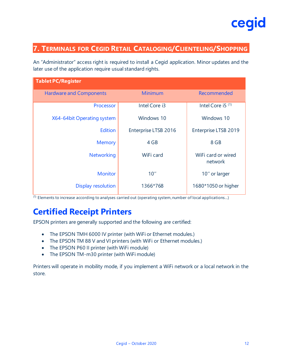

#### <span id="page-11-0"></span>**7. TERMINALS FOR CEGID RETAIL CATALOGING/CLIENTELING/SHOPPING**

An "Administrator" access right is required to install a Cegid application. Minor updates and the later use of the application require usual standard rights.

| <b>Tablet PC/Register</b>      |                      |                               |  |  |
|--------------------------------|----------------------|-------------------------------|--|--|
| <b>Hardware and Components</b> | Minimum              | Recommended                   |  |  |
| Processor                      | Intel Core i3        | Intel Core i5 <sup>(1)</sup>  |  |  |
| X64-64bit Operating system     | Windows 10           | Windows 10                    |  |  |
| <b>Edition</b>                 | Enterprise LTSB 2016 | Enterprise LTSB 2019          |  |  |
| <b>Memory</b>                  | 4 GB                 | 8 GB                          |  |  |
| <b>Networking</b>              | WiFi card            | WiFi card or wired<br>network |  |  |
| <b>Monitor</b>                 | 10''                 | 10" or larger                 |  |  |
| <b>Display resolution</b>      | 1366*768             | 1680*1050 or higher           |  |  |

 $(1)$  Elements to increase according to analyses carried out (operating system, number of local applications...)

## **Certified Receipt Printers**

EPSON printers are generally supported and the following are certified:

- The EPSON TMH 6000 IV printer (with WiFi or Ethernet modules.)
- The EPSON TM 88 V and VI printers (with WiFi or Ethernet modules.)
- The EPSON P60 II printer (with WiFi module)
- The EPSON TM-m30 printer (with WiFi module)

Printers will operate in mobility mode, if you implement a WiFi network or a local network in the store.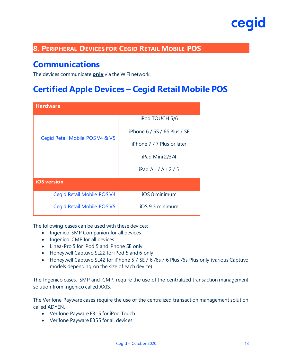#### <span id="page-12-0"></span>**8. PERIPHERAL DEVICES FOR CEGID RETAIL MOBILE POS**

### **Communications**

The devices communicate **only** via the WiFi network.

### **Certified Apple Devices – Cegid Retail Mobile POS**

| <b>Hardware</b>                 |                              |  |  |  |
|---------------------------------|------------------------------|--|--|--|
|                                 | iPod TOUCH 5/6               |  |  |  |
| Cegid Retail Mobile POS V4 & V5 | iPhone 6 / 6S / 6S Plus / SE |  |  |  |
|                                 | iPhone 7 / 7 Plus or later   |  |  |  |
|                                 | iPad Mini 2/3/4              |  |  |  |
|                                 | iPad Air / Air $2/5$         |  |  |  |
| <b>iOS</b> version              |                              |  |  |  |
| Cegid Retail Mobile POS V4      | iOS 8 minimum                |  |  |  |
| Cegid Retail Mobile POS V5      | iOS 9.3 minimum              |  |  |  |

The following cases can be used with these devices:

- Ingenico iSMP Companion for all devices
- Ingenico iCMP for all devices
- Linea-Pro 5 for iPod 5 and iPhone SE only
- Honeywell Captuvo SL22 for iPod 5 and 6 only
- Honeywell Captuvo SL42 for iPhone 5 / SE / 6 /6s / 6 Plus /6s Plus only (various Captuvo models depending on the size of each device)

The Ingenico cases, iSMP and iCMP, require the use of the centralized transaction management solution from Ingenico called AXIS.

The Verifone Payware cases require the use of the centralized transaction management solution called ADYEN.

- Verifone Payware E315 for iPod Touch
- Verifone Payware E355 for all devices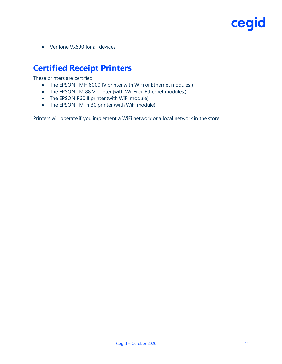• Verifone Vx690 for all devices

## **Certified Receipt Printers**

These printers are certified:

- The EPSON TMH 6000 IV printer with WiFi or Ethernet modules.)
- The EPSON TM 88 V printer (with Wi-Fi or Ethernet modules.)
- The EPSON P60 II printer (with WiFi module)
- The EPSON TM-m30 printer (with WiFi module)

Printers will operate if you implement a WiFi network or a local network in the store.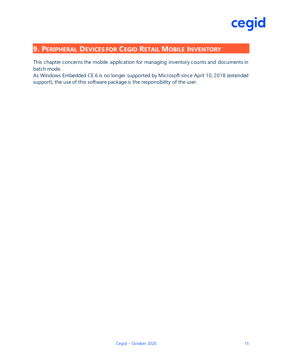#### <span id="page-14-0"></span>**9. PERIPHERAL DEVICES FOR CEGID RETAIL MOBILE INVENTORY**

This chapter concerns the mobile application for managing inventory counts and documents in batch mode.

As Windows Embedded CE 6 is no longer supported by Microsoft since April 10, 2018 (extended support), the use of this software package is the responsibility of the user.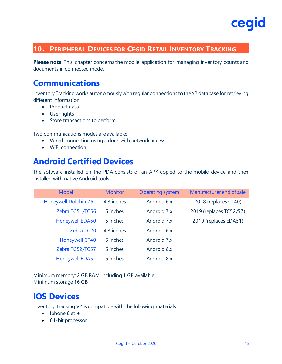#### <span id="page-15-0"></span>**10. PERIPHERAL DEVICES FOR CEGID RETAIL INVENTORY TRACKING**

**Please note**: This chapter concerns the mobile application for managing inventory counts and documents in connected mode.

### **Communications**

Inventory Tracking works autonomously with regular connections to the Y2 database for retrieving different information:

- Product data
- User rights
- Store transactions to perform

Two communications modes are available:

- Wired connection using a dock with network access
- WiFi connection

### **Android Certified Devices**

The software installed on the PDA consists of an APK copied to the mobile device and then installed with native Android tools.

| <b>Model</b>           | <b>Monitor</b> | <b>Operating system</b> | Manufacturer end of sale |
|------------------------|----------------|-------------------------|--------------------------|
| Honeywell Dolphin 75e  | 4.3 inches     | Android 6.x             | 2018 (replaces CT40)     |
| Zebra TC51/TC56        | 5 inches       | Android 7.x             | 2019 (replaces TC52/57)  |
| <b>Honeywell EDA50</b> | 5 inches       | Android 7.x             | 2019 (replaces EDA51)    |
| Zebra TC20             | 4.3 inches     | Android 6.x             |                          |
| <b>Honeywell CT40</b>  | 5 inches       | Android 7.x             |                          |
| Zebra TC52/TC57        | 5 inches       | Android 8.x             |                          |
| <b>Honeywell EDA51</b> | 5 inches       | Android 8.x             |                          |

Minimum memory: 2 GB RAM including 1 GB available Minimum storage 16 GB

### **IOS Devices**

Inventory Tracking V2 is compatible with the following materials:

- $\bullet$  Iphone 6 et +
- 64-bit processor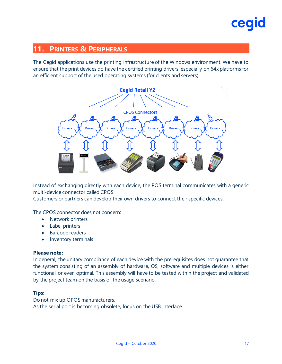#### <span id="page-16-0"></span>**11. PRINTERS & PERIPHERALS**

The Cegid applications use the printing infrastructure of the Windows environment. We have to ensure that the print devices do have the certified printing drivers, especially on 64x platforms for an efficient support of the used operating systems (for clients and servers).



Instead of exchanging directly with each device, the POS terminal communicates with a generic multi-device connector called CPOS.

Customers or partners can develop their own drivers to connect their specific devices.

The CPOS connector does not concern:

- Network printers
- Label printers
- Barcode readers
- Inventory terminals

#### **Please note:**

In general, the unitary compliance of each device with the prerequisites does not guarantee that the system consisting of an assembly of hardware, OS, software and multiple devices is either functional, or even optimal. This assembly will have to be tested within the project and validated by the project team on the basis of the usage scenario.

#### **Tips:**

Do not mix up OPOS manufacturers. As the serial port is becoming obsolete, focus on the USB interface.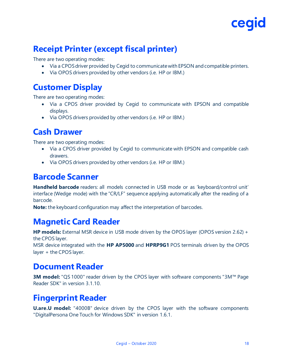

## **Receipt Printer (except fiscal printer)**

There are two operating modes:

- Via a CPOS driver provided by Cegid to communicate with EPSON and compatible printers.
- Via OPOS drivers provided by other vendors (i.e. HP or IBM.)

### **Customer Display**

There are two operating modes:

- Via a CPOS driver provided by Cegid to communicate with EPSON and compatible displays.
- Via OPOS drivers provided by other vendors (i.e. HP or IBM.)

#### **Cash Drawer**

There are two operating modes:

- Via a CPOS driver provided by Cegid to communicate with EPSON and compatible cash drawers.
- Via OPOS drivers provided by other vendors (i.e. HP or IBM.)

#### **Barcode Scanner**

**Handheld barcode** readers: all models connected in USB mode or as 'keyboard/control unit' interface (Wedge mode) with the "CR/LF" sequence applying automatically after the reading of a barcode.

**Note:** the keyboard configuration may affect the interpretation of barcodes.

### **Magnetic Card Reader**

**HP models:** External MSR device in USB mode driven by the OPOS layer (OPOS version 2.62) + the CPOS layer.

MSR device integrated with the **HP AP5000** and **HPRP9G1** POS terminals driven by the OPOS layer + the CPOS layer.

#### **Document Reader**

**3M model:** "QS 1000" reader driven by the CPOS layer with software components "3M™ Page Reader SDK" in version 3.1.10.

### **Fingerprint Reader**

**U.are.U model:** "4000B" device driven by the CPOS layer with the software components "DigitalPersona One Touch for Windows SDK" in version 1.6.1.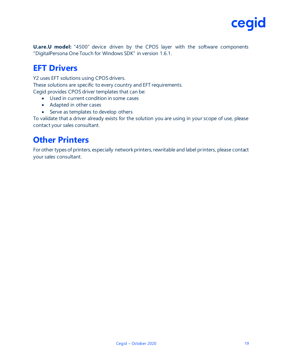

**U.are.U model:** "4500" device driven by the CPOS layer with the software components "DigitalPersona One Touch for Windows SDK" in version 1.6.1.

### **EFT Drivers**

Y2 uses EFT solutions using CPOS drivers.

These solutions are specific to every country and EFT requirements.

- Cegid provides CPOS driver templates that can be:
	- Used in current condition in some cases
	- Adapted in other cases
	- Serve as templates to develop others

To validate that a driver already exists for the solution you are using in your scope of use, please contact your sales consultant.

### **Other Printers**

For other types of printers, especially network printers, rewritable and label printers, please contact your sales consultant.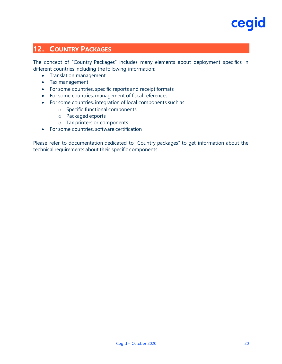

#### <span id="page-19-0"></span>**12. COUNTRY PACKAGES**

The concept of "Country Packages" includes many elements about deployment specifics in different countries including the following information:

- Translation management
- Tax management
- For some countries, specific reports and receipt formats
- For some countries, management of fiscal references
- For some countries, integration of local components such as:
	- o Specific functional components
	- o Packaged exports
	- o Tax printers or components
- For some countries, software certification

Please refer to documentation dedicated to "Country packages" to get information about the technical requirements about their specific components.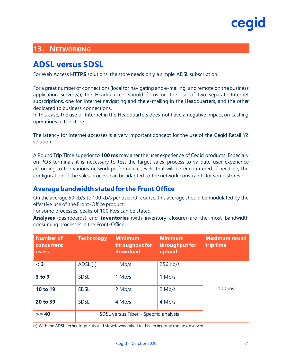#### <span id="page-20-0"></span>**13. NETWORKING**

### **ADSL versus SDSL**

For Web Access **HTTPS** solutions, the store needs only a simple ADSL subscription.

For a great number of connections (local for navigating and e-mailing, and remote on the business application server(s)), the Headquarters should focus on the use of two separate Internet subscriptions, one for Internet navigating and the e-mailing in the Headquarters, and the other dedicated to business connections.

In this case, the use of Internet in the Headquarters does not have a negative impact on cashing operations in the store.

The latency for Internet accesses is a very important concept for the use of the Cegid Retail Y2 solution.

A Round Trip Time superior to **100 ms** may alter the user experience of Cegid products. Especially on POS terminals it is necessary to test the target sales process to validate user experience according to the various network performance levels that will be encountered. If need be, the configuration of the sales process can be adapted to the network constraints for some stores.

#### **Average bandwidth stated for the Front Office**

On the average 50 kb/s to 100 kb/s per user. Of course, this average should be modulated by the effective use of the Front-Office product.

For some processes, peaks of 100 kb/s can be stated.

**Analyses** (dashboards) and **inventories** (with inventory closure) are the most bandwidth consuming processes in the Front-Office.

| Number of<br>concurrent<br><b>users</b> | <b>Technology</b>                     | <b>Minimum</b><br>throughput for<br>download | <b>Minimum</b><br>throughput for<br>upload | <b>Maximum round</b><br>trip time |
|-----------------------------------------|---------------------------------------|----------------------------------------------|--------------------------------------------|-----------------------------------|
| $<$ 3                                   | ADSL $(*)$                            | $1$ Mb/s                                     | 256 Kb/s                                   |                                   |
| 3 to 9                                  | <b>SDSL</b>                           | 1 Mb/s                                       | 1 Mb/s                                     |                                   |
| 10 to 19                                | <b>SDSL</b>                           | $2$ Mb/s                                     | $2$ Mb/s                                   | 100 ms                            |
| 20 to 39                                | <b>SDSL</b>                           | 4 Mb/s                                       | 4 Mb/s                                     |                                   |
| $>= 40$                                 | SDSL versus Fiber - Specific analysis |                                              |                                            |                                   |

(\*) With the ADSL technology, cuts and slowdowns linked to this technology can be observed.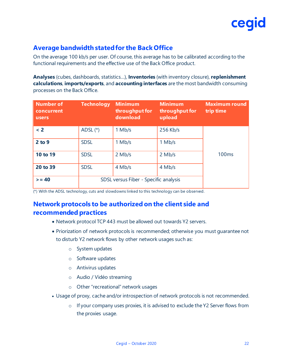#### **Average bandwidth stated for the Back Office**

On the average 100 kb/s per user. Of course, this average has to be calibrated according to the functional requirements and the effective use of the Back Office product.

**Analyses** (cubes, dashboards, statistics…), **Inventories** (with inventory closure), **replenishment calculations**, **imports/exports**, and **accounting interfaces** are the most bandwidth consuming processes on the Back Office.

| <b>Number of</b><br>concurrent<br><b>users</b> | <b>Technology</b>                     | <b>Minimum</b><br>throughput for<br>download | <b>Minimum</b><br>throughput for<br>upload | <b>Maximum round</b><br>trip time |
|------------------------------------------------|---------------------------------------|----------------------------------------------|--------------------------------------------|-----------------------------------|
| $\leq$ 2                                       | ADSL $(*)$                            | $1$ Mb/s                                     | 256 Kb/s                                   |                                   |
| $2$ to $9$                                     | <b>SDSL</b>                           | $1$ Mb/s                                     | 1 Mb/s                                     |                                   |
| 10 to 19                                       | <b>SDSL</b>                           | $2$ Mb/s                                     | $2$ Mb/s                                   | 100 <sub>ms</sub>                 |
| 20 to 39                                       | <b>SDSL</b>                           | 4 Mb/s                                       | 4 Mb/s                                     |                                   |
| $>= 40$                                        | SDSL versus Fiber - Specific analysis |                                              |                                            |                                   |

(\*) With the ADSL technology, cuts and slowdowns linked to this technology can be observed.

#### **Network protocols to be authorized on the client side and recommended practices**

- Network protocol TCP 443 must be allowed out towards Y2 servers.
- Priorization of network protocols is recommended; otherwise you must guarantee not to disturb Y2 network flows by other network usages such as:
	- o System updates
	- o Software updates
	- o Antivirus updates
	- o Audio / Vidéo streaming
	- o Other "recreational" network usages
- Usage of proxy, cache and/or introspection of network protocols is not recommended.
	- o If your company uses proxies, it is advised to exclude the Y2 Server flows from the proxies usage.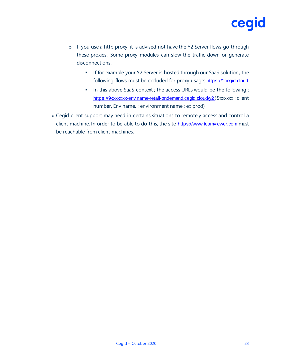

- o If you use a http proxy, it is advised not have the Y2 Server flows go through these proxies. Some proxy modules can slow the traffic down or generate disconnections:
	- **EXEDE 15 If for example your Y2 Server is hosted through our SaaS solution, the** following flows must be excluded for proxy usage: https://\*.cegid.cloud
	- In this above SaaS context ; the access URLs would be the following : https://9xxxxxx-env name-retail-ondemand.cegid.cloud/y2 (9xxxxxx : client number, Env name. : environment name : ex prod)
- Cegid client support may need in certains situations to remotely access and control a client machine. In order to be able to do this, the site [https://www.teamviewer.com](https://www.teamviewer.com/) must be reachable from client machines.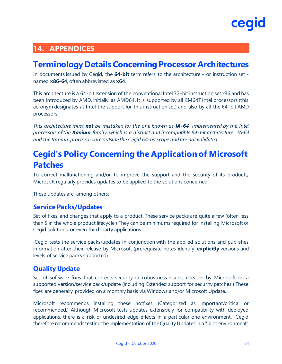

#### <span id="page-23-0"></span>**14. APPENDICES**

### **Terminology Details Concerning Processor Architectures**

In documents issued by Cegid, the **64-bit** term refers to the architecture – or instruction set named **x86-64**, often abbreviated as **x64**.

This architecture is a 64-bit extension of the conventional Intel 32-bit instruction set x86 and has been introduced by AMD, initially as AMD64. It is supported by all EM64T Intel processors (this acronym designates at Intel the support for this instruction set) and also by all the 64 -bit AMD processors.

*This architecture must not be mistaken for the one known as IA-64, implemented by the Intel processors of the Itanium family, which is a distinct and incompatible 64-bit architecture. IA-64 and the Itanium processors are outside the Cegid 64-bit scope and are not validated.*

## **Cegid's Policy Concerning the Application of Microsoft Patches**

To correct malfunctioning and/or to improve the support and the security of its products, Microsoft regularly provides updates to be applied to the solutions concerned.

These updates are, among others:

#### **Service Packs/Updates**

Set of fixes and changes that apply to a product. These service packs are quite a few (often less than 5 in the whole product lifecycle.) They can be minimums required for installing Microsoft or Cegid solutions, or even third-party applications.

Cegid tests the service packs/updates in conjunction with the applied solutions and publishes information after their release by Microsoft (prerequisite notes identify **explicitly** versions and levels of service packs supported).

#### **Quality Update**

Set of software fixes that corrects security or robustness issues, releases by Microsoft on a supported version/service pack/update (including Extended support for security patches.) These fixes are generally provided on a monthly basis via Windows and/or Microsoft Update.

Microsoft recommends installing these hotfixes (Categorized as important/critical or recommended.) Although Microsoft tests updates extensively for compatibility with deployed applications, there is a risk of undesired edge effects in a particular one environment. Cegid therefore recommends testing the implementation of the Quality Updates in a "pilot environment"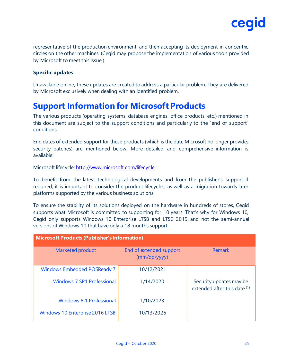

representative of the production environment, and then accepting its deployment in concentric circles on the other machines. (Cegid may propose the implementation of various tools provided by Microsoft to meet this issue.)

#### **Specific updates**

Unavailable online, these updates are created to address a particular problem. They are delivered by Microsoft exclusively when dealing with an identified problem.

### **Support Information for Microsoft Products**

The various products (operating systems, database engines, office products, etc.) mentioned in this document are subject to the support conditions and particularly to the "end of support" conditions.

End dates of extended support for these products (which is the date Microsoft no longer provides security patches) are mentioned below. More detailed and comprehensive information is available:

Microsoft lifecycle:<http://www.microsoft.com/lifecycle>

To benefit from the latest technological developments and from the publisher's support if required, it is important to consider the product lifecycles, as well as a migration towards later platforms supported by the various business solutions.

To ensure the stability of its solutions deployed on the hardware in hundreds of stores, Cegid supports what Microsoft is committed to supporting for 10 years. That's why for Windows 10, Cegid only supports Windows 10 Enterprise LTSB and LTSC 2019, and not the semi-annual versions of Windows 10 that have only a 18 months support.

| <b>Microsoft Products (Publisher's Information)</b> |                                         |                                                         |  |  |  |
|-----------------------------------------------------|-----------------------------------------|---------------------------------------------------------|--|--|--|
| <b>Marketed product</b>                             | End of extended support<br>(mm/dd/yyyy) | Remark                                                  |  |  |  |
| <b>Windows Embedded POSReady 7</b>                  | 10/12/2021                              |                                                         |  |  |  |
| <b>Windows 7 SP1 Professional</b>                   | 1/14/2020                               | Security updates may be<br>extended after this date (1) |  |  |  |
| Windows 8.1 Professional                            | 1/10/2023                               |                                                         |  |  |  |
| <b>Windows 10 Enterprise 2016 LTSB</b>              | 10/13/2026                              |                                                         |  |  |  |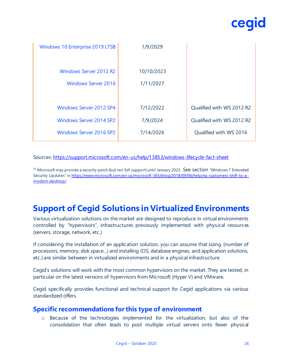| Windows 10 Enterprise 2019 LTSB | 1/9/2029   |                           |
|---------------------------------|------------|---------------------------|
| <b>Windows Server 2012 R2</b>   | 10/10/2023 |                           |
| <b>Windows Server 2016</b>      | 1/11/2027  |                           |
|                                 |            |                           |
| <b>Windows Server 2012 SP4</b>  | 7/12/2022  | Qualified with WS 2012 R2 |
| <b>Windows Server 2014 SP2</b>  | 7/9/2024   | Qualified with WS 2012 R2 |
| <b>Windows Server 2016 SP2</b>  | 7/14/2026  | Qualified with WS 2016    |

#### Sources:<https://support.microsoft.com/en-us/help/13853/windows-lifecycle-fact-sheet>

 $<sup>(1)</sup>$  Microsoft may provide a security patch (but not full support) until January 2023. See section "Windows 7 Extended</sup> Security Updates" in [https://www.microsoft.com/en-us/microsoft-365/blog/2018/09/06/helping-customers-shift-to-a](https://www.microsoft.com/en-us/microsoft-365/blog/2018/09/06/helping-customers-shift-to-a-modern-desktop/) [modern-desktop/](https://www.microsoft.com/en-us/microsoft-365/blog/2018/09/06/helping-customers-shift-to-a-modern-desktop/)

## **Support of Cegid Solutions in Virtualized Environments**

Various virtualization solutions on the market are designed to reproduce in virtual environments controlled by "hypervisors", infrastructures previously implemented with physical resources (servers, storage, network, etc.)

If considering the installation of an application solution, you can assume that sizing (number of processors, memory, disk space...) and installing (OS, database engines, and application solutions, etc.) are similar between in virtualized environments and in a physical infrastructure.

Cegid's solutions will work with the most common hypervisors on the market. They are tested, in particular on the latest versions of hypervisors from Microsoft (Hyper V) and VMware.

Cegid specifically provides functional and technical support for Cegid applications via various standardized offers.

#### **Specific recommendations for this type of environment**

o Because of the technologies implemented for the virtualization, but also of the consolidation that often leads to pool multiple virtual servers onto fewer physical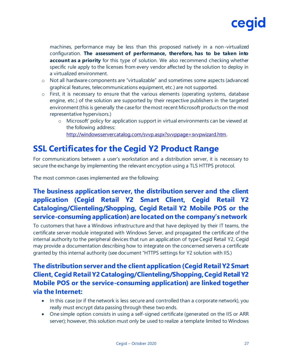

machines, performance may be less than this proposed natively in a non-virtualized configuration. **The assessment of performance, therefore, has to be taken into account as a priority** for this type of solution. We also recommend checking whether specific rule apply to the licenses from every vendor affected by the solution to deploy in a virtualized environment.

- o Not all hardware components are "virtualizable" and sometimes some aspects (advanced graphical features, telecommunications equipment, etc.) are not supported.
- o First, it is necessary to ensure that the various elements (operating systems, database engine, etc.) of the solution are supported by their respective publishers in the targeted environment (this is generally the case for the most recent Microsoft products on the most representative hypervisors.)
	- o Microsoft' policy for application support in virtual environments can be viewed at the following address: <http://windowsservercatalog.com/svvp.aspx?svvppage=svvpwizard.htm>.

### **SSL Certificates for the Cegid Y2 Product Range**

For communications between a user's workstation and a distribution server, it is necessary to secure the exchange by implementing the relevant encryption using a TLS HTTPS protocol.

The most common cases implemented are the following:

#### **The business application server, the distribution server and the client application (Cegid Retail Y2 Smart Client, Cegid Retail Y2 Cataloging/Clienteling/Shopping, Cegid Retail Y2 Mobile POS or the service-consuming application) are located on the company's network**

To customers that have a Windows infrastructure and that have deployed by their IT teams, the certificate server module integrated with Windows Server, and propagated the certificate of the internal authority to the peripheral devices that run an application of type Cegid Retail Y2, Cegid may provide a documentation describing how to integrate on the concerned servers a certificate granted by this internal authority (see document "HTTPS settings for Y2 solution with IIS.)

#### **The distribution server and the client application (Cegid Retail Y2 Smart Client, Cegid Retail Y2 Cataloging/Clienteling/Shopping, Cegid Retail Y2 Mobile POS or the service-consuming application) are linked together via the Internet:**

- In this case (or if the network is less secure and controlled than a corporate network), you really must encrypt data passing through these two ends.
- One simple option consists in using a self-signed certificate (generated on the IIS or ARR server); however, this solution must only be used to realize a template limited to Windows